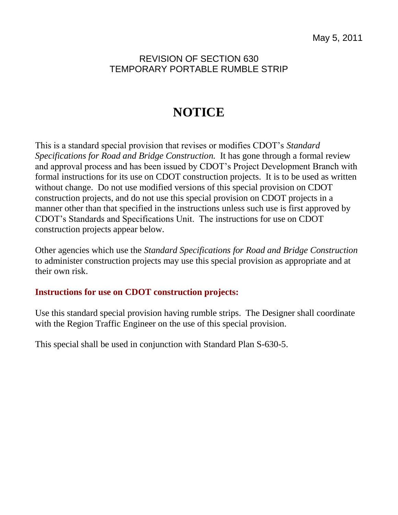## REVISION OF SECTION 630 TEMPORARY PORTABLE RUMBLE STRIP

## **NOTICE**

This is a standard special provision that revises or modifies CDOT's *Standard Specifications for Road and Bridge Construction.* It has gone through a formal review and approval process and has been issued by CDOT's Project Development Branch with formal instructions for its use on CDOT construction projects. It is to be used as written without change. Do not use modified versions of this special provision on CDOT construction projects, and do not use this special provision on CDOT projects in a manner other than that specified in the instructions unless such use is first approved by CDOT's Standards and Specifications Unit. The instructions for use on CDOT construction projects appear below.

Other agencies which use the *Standard Specifications for Road and Bridge Construction* to administer construction projects may use this special provision as appropriate and at their own risk.

## **Instructions for use on CDOT construction projects:**

Use this standard special provision having rumble strips. The Designer shall coordinate with the Region Traffic Engineer on the use of this special provision.

This special shall be used in conjunction with Standard Plan S-630-5.